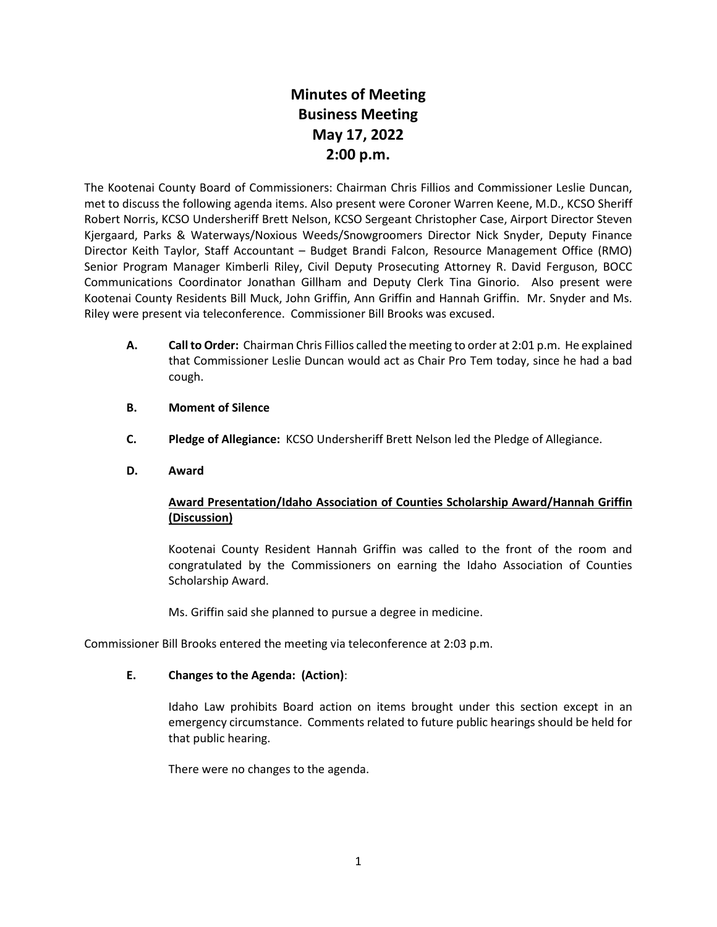# **Minutes of Meeting Business Meeting May 17, 2022 2:00 p.m.**

The Kootenai County Board of Commissioners: Chairman Chris Fillios and Commissioner Leslie Duncan, met to discuss the following agenda items. Also present were Coroner Warren Keene, M.D., KCSO Sheriff Robert Norris, KCSO Undersheriff Brett Nelson, KCSO Sergeant Christopher Case, Airport Director Steven Kjergaard, Parks & Waterways/Noxious Weeds/Snowgroomers Director Nick Snyder, Deputy Finance Director Keith Taylor, Staff Accountant – Budget Brandi Falcon, Resource Management Office (RMO) Senior Program Manager Kimberli Riley, Civil Deputy Prosecuting Attorney R. David Ferguson, BOCC Communications Coordinator Jonathan Gillham and Deputy Clerk Tina Ginorio. Also present were Kootenai County Residents Bill Muck, John Griffin, Ann Griffin and Hannah Griffin. Mr. Snyder and Ms. Riley were present via teleconference. Commissioner Bill Brooks was excused.

- **A. Call to Order:** Chairman Chris Fillios called the meeting to order at 2:01 p.m. He explained that Commissioner Leslie Duncan would act as Chair Pro Tem today, since he had a bad cough.
- **B. Moment of Silence**
- **C. Pledge of Allegiance:** KCSO Undersheriff Brett Nelson led the Pledge of Allegiance.
- **D. Award**

# **Award Presentation/Idaho Association of Counties Scholarship Award/Hannah Griffin (Discussion)**

Kootenai County Resident Hannah Griffin was called to the front of the room and congratulated by the Commissioners on earning the Idaho Association of Counties Scholarship Award.

Ms. Griffin said she planned to pursue a degree in medicine.

Commissioner Bill Brooks entered the meeting via teleconference at 2:03 p.m.

### **E. Changes to the Agenda: (Action)**:

Idaho Law prohibits Board action on items brought under this section except in an emergency circumstance. Comments related to future public hearings should be held for that public hearing.

There were no changes to the agenda.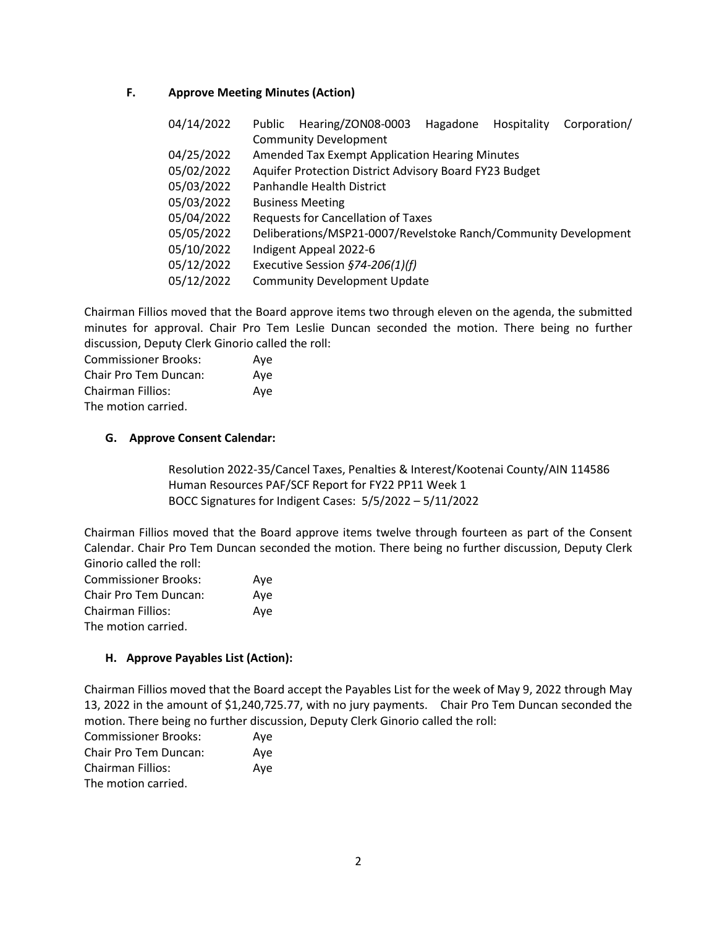## **F. Approve Meeting Minutes (Action)**

| 04/14/2022 | Public | Hearing/ZON08-0003                                              | Hagadone | Hospitality | Corporation/ |
|------------|--------|-----------------------------------------------------------------|----------|-------------|--------------|
|            |        | <b>Community Development</b>                                    |          |             |              |
| 04/25/2022 |        | <b>Amended Tax Exempt Application Hearing Minutes</b>           |          |             |              |
| 05/02/2022 |        | Aquifer Protection District Advisory Board FY23 Budget          |          |             |              |
| 05/03/2022 |        | Panhandle Health District                                       |          |             |              |
| 05/03/2022 |        | <b>Business Meeting</b>                                         |          |             |              |
| 05/04/2022 |        | <b>Requests for Cancellation of Taxes</b>                       |          |             |              |
| 05/05/2022 |        | Deliberations/MSP21-0007/Revelstoke Ranch/Community Development |          |             |              |
| 05/10/2022 |        | Indigent Appeal 2022-6                                          |          |             |              |
| 05/12/2022 |        | Executive Session $$74-206(1)(f)$                               |          |             |              |
| 05/12/2022 |        | <b>Community Development Update</b>                             |          |             |              |

Chairman Fillios moved that the Board approve items two through eleven on the agenda, the submitted minutes for approval. Chair Pro Tem Leslie Duncan seconded the motion. There being no further discussion, Deputy Clerk Ginorio called the roll:

| <b>Commissioner Brooks:</b> | Aye |
|-----------------------------|-----|
| Chair Pro Tem Duncan:       | Aye |
| <b>Chairman Fillios:</b>    | Aye |
| The motion carried.         |     |

### **G. Approve Consent Calendar:**

Resolution 2022-35/Cancel Taxes, Penalties & Interest/Kootenai County/AIN 114586 Human Resources PAF/SCF Report for FY22 PP11 Week 1 BOCC Signatures for Indigent Cases: 5/5/2022 – 5/11/2022

Chairman Fillios moved that the Board approve items twelve through fourteen as part of the Consent Calendar. Chair Pro Tem Duncan seconded the motion. There being no further discussion, Deputy Clerk Ginorio called the roll:

| <b>Commissioner Brooks:</b> | Aye |
|-----------------------------|-----|
| Chair Pro Tem Duncan:       | Ave |
| <b>Chairman Fillios:</b>    | Ave |
| The motion carried.         |     |

### **H. Approve Payables List (Action):**

Chairman Fillios moved that the Board accept the Payables List for the week of May 9, 2022 through May 13, 2022 in the amount of \$1,240,725.77, with no jury payments. Chair Pro Tem Duncan seconded the motion. There being no further discussion, Deputy Clerk Ginorio called the roll:

| <b>Commissioner Brooks:</b> | Ave |
|-----------------------------|-----|
| Chair Pro Tem Duncan:       | Ave |
| Chairman Fillios:           | Aye |
| The motion carried.         |     |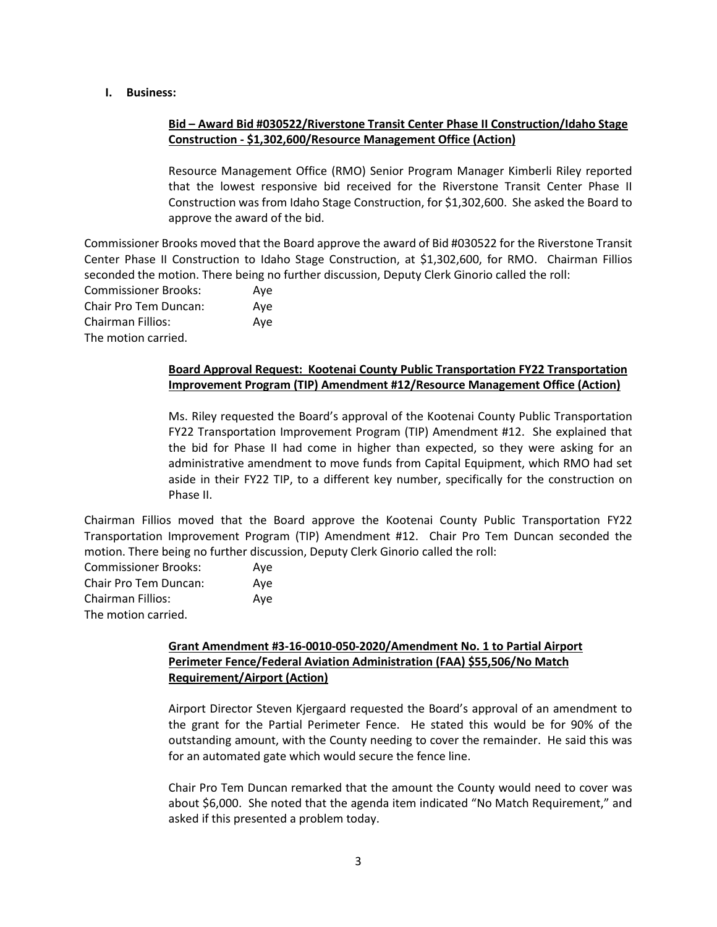#### **I. Business:**

# **Bid – Award Bid #030522/Riverstone Transit Center Phase II Construction/Idaho Stage Construction - \$1,302,600/Resource Management Office (Action)**

Resource Management Office (RMO) Senior Program Manager Kimberli Riley reported that the lowest responsive bid received for the Riverstone Transit Center Phase II Construction was from Idaho Stage Construction, for \$1,302,600. She asked the Board to approve the award of the bid.

Commissioner Brooks moved that the Board approve the award of Bid #030522 for the Riverstone Transit Center Phase II Construction to Idaho Stage Construction, at \$1,302,600, for RMO. Chairman Fillios seconded the motion. There being no further discussion, Deputy Clerk Ginorio called the roll:

Commissioner Brooks: Aye Chair Pro Tem Duncan: Aye Chairman Fillios: Aye The motion carried.

# **Board Approval Request: Kootenai County Public Transportation FY22 Transportation Improvement Program (TIP) Amendment #12/Resource Management Office (Action)**

Ms. Riley requested the Board's approval of the Kootenai County Public Transportation FY22 Transportation Improvement Program (TIP) Amendment #12. She explained that the bid for Phase II had come in higher than expected, so they were asking for an administrative amendment to move funds from Capital Equipment, which RMO had set aside in their FY22 TIP, to a different key number, specifically for the construction on Phase II.

Chairman Fillios moved that the Board approve the Kootenai County Public Transportation FY22 Transportation Improvement Program (TIP) Amendment #12. Chair Pro Tem Duncan seconded the motion. There being no further discussion, Deputy Clerk Ginorio called the roll:

| <b>Commissioner Brooks:</b> | Ave |
|-----------------------------|-----|
| Chair Pro Tem Duncan:       | Ave |
| Chairman Fillios:           | Ave |
| The motion carried.         |     |

# **Grant Amendment #3-16-0010-050-2020/Amendment No. 1 to Partial Airport Perimeter Fence/Federal Aviation Administration (FAA) \$55,506/No Match Requirement/Airport (Action)**

Airport Director Steven Kjergaard requested the Board's approval of an amendment to the grant for the Partial Perimeter Fence. He stated this would be for 90% of the outstanding amount, with the County needing to cover the remainder. He said this was for an automated gate which would secure the fence line.

Chair Pro Tem Duncan remarked that the amount the County would need to cover was about \$6,000. She noted that the agenda item indicated "No Match Requirement," and asked if this presented a problem today.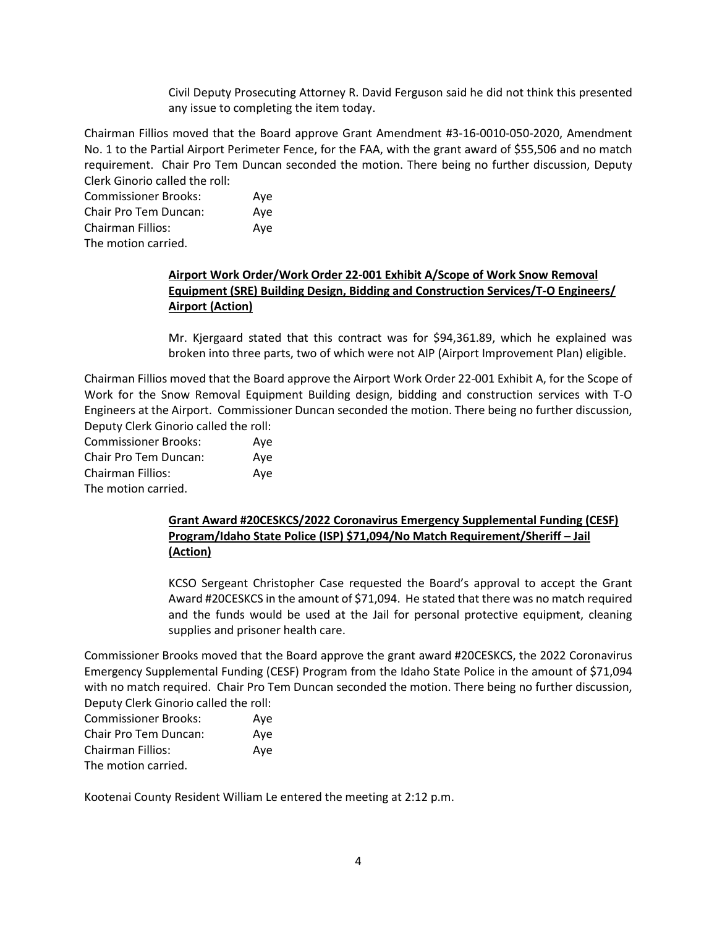Civil Deputy Prosecuting Attorney R. David Ferguson said he did not think this presented any issue to completing the item today.

Chairman Fillios moved that the Board approve Grant Amendment #3-16-0010-050-2020, Amendment No. 1 to the Partial Airport Perimeter Fence, for the FAA, with the grant award of \$55,506 and no match requirement. Chair Pro Tem Duncan seconded the motion. There being no further discussion, Deputy Clerk Ginorio called the roll:

Commissioner Brooks: Aye Chair Pro Tem Duncan: Aye Chairman Fillios: Aye The motion carried.

# **Airport Work Order/Work Order 22-001 Exhibit A/Scope of Work Snow Removal Equipment (SRE) Building Design, Bidding and Construction Services/T-O Engineers/ Airport (Action)**

Mr. Kjergaard stated that this contract was for \$94,361.89, which he explained was broken into three parts, two of which were not AIP (Airport Improvement Plan) eligible.

Chairman Fillios moved that the Board approve the Airport Work Order 22-001 Exhibit A, for the Scope of Work for the Snow Removal Equipment Building design, bidding and construction services with T-O Engineers at the Airport. Commissioner Duncan seconded the motion. There being no further discussion, Deputy Clerk Ginorio called the roll:

| <b>Commissioner Brooks:</b> | Aye |
|-----------------------------|-----|
| Chair Pro Tem Duncan:       | Ave |
| <b>Chairman Fillios:</b>    | Aye |
| The motion carried.         |     |

## **Grant Award #20CESKCS/2022 Coronavirus Emergency Supplemental Funding (CESF) Program/Idaho State Police (ISP) \$71,094/No Match Requirement/Sheriff – Jail (Action)**

KCSO Sergeant Christopher Case requested the Board's approval to accept the Grant Award #20CESKCS in the amount of \$71,094. He stated that there was no match required and the funds would be used at the Jail for personal protective equipment, cleaning supplies and prisoner health care.

Commissioner Brooks moved that the Board approve the grant award #20CESKCS, the 2022 Coronavirus Emergency Supplemental Funding (CESF) Program from the Idaho State Police in the amount of \$71,094 with no match required. Chair Pro Tem Duncan seconded the motion. There being no further discussion, Deputy Clerk Ginorio called the roll:

| bepacy citing only called the roll. |     |
|-------------------------------------|-----|
| <b>Commissioner Brooks:</b>         | Ave |
| Chair Pro Tem Duncan:               | Ave |
| <b>Chairman Fillios:</b>            | Ave |
| The motion carried.                 |     |

Kootenai County Resident William Le entered the meeting at 2:12 p.m.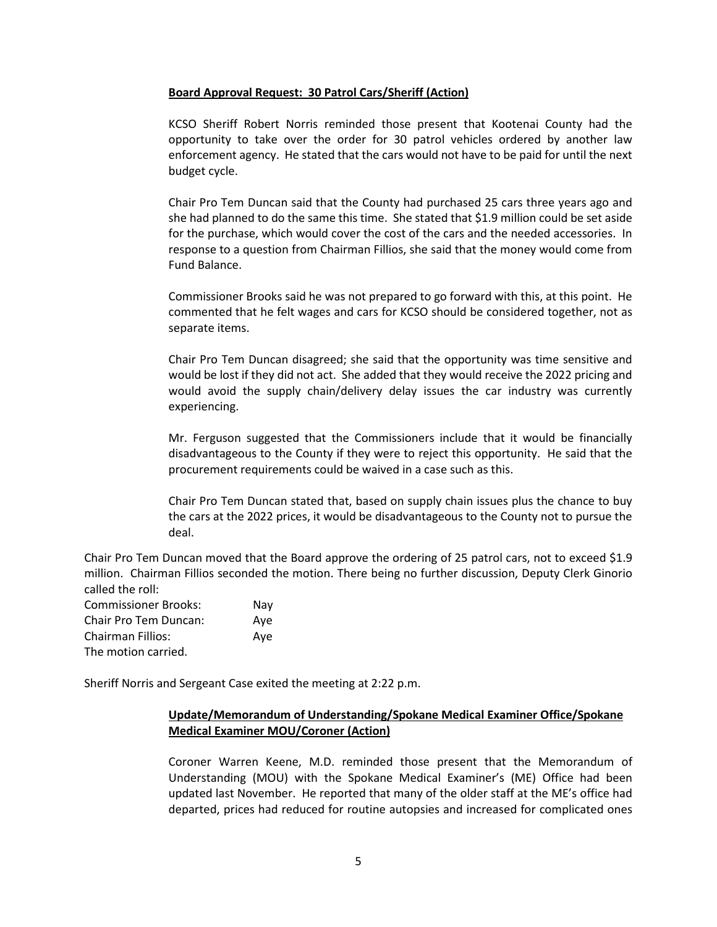#### **Board Approval Request: 30 Patrol Cars/Sheriff (Action)**

KCSO Sheriff Robert Norris reminded those present that Kootenai County had the opportunity to take over the order for 30 patrol vehicles ordered by another law enforcement agency. He stated that the cars would not have to be paid for until the next budget cycle.

Chair Pro Tem Duncan said that the County had purchased 25 cars three years ago and she had planned to do the same this time. She stated that \$1.9 million could be set aside for the purchase, which would cover the cost of the cars and the needed accessories. In response to a question from Chairman Fillios, she said that the money would come from Fund Balance.

Commissioner Brooks said he was not prepared to go forward with this, at this point. He commented that he felt wages and cars for KCSO should be considered together, not as separate items.

Chair Pro Tem Duncan disagreed; she said that the opportunity was time sensitive and would be lost if they did not act. She added that they would receive the 2022 pricing and would avoid the supply chain/delivery delay issues the car industry was currently experiencing.

Mr. Ferguson suggested that the Commissioners include that it would be financially disadvantageous to the County if they were to reject this opportunity. He said that the procurement requirements could be waived in a case such as this.

Chair Pro Tem Duncan stated that, based on supply chain issues plus the chance to buy the cars at the 2022 prices, it would be disadvantageous to the County not to pursue the deal.

Chair Pro Tem Duncan moved that the Board approve the ordering of 25 patrol cars, not to exceed \$1.9 million. Chairman Fillios seconded the motion. There being no further discussion, Deputy Clerk Ginorio called the roll:

Commissioner Brooks: Nay Chair Pro Tem Duncan: Aye Chairman Fillios: Aye The motion carried.

Sheriff Norris and Sergeant Case exited the meeting at 2:22 p.m.

# **Update/Memorandum of Understanding/Spokane Medical Examiner Office/Spokane Medical Examiner MOU/Coroner (Action)**

Coroner Warren Keene, M.D. reminded those present that the Memorandum of Understanding (MOU) with the Spokane Medical Examiner's (ME) Office had been updated last November. He reported that many of the older staff at the ME's office had departed, prices had reduced for routine autopsies and increased for complicated ones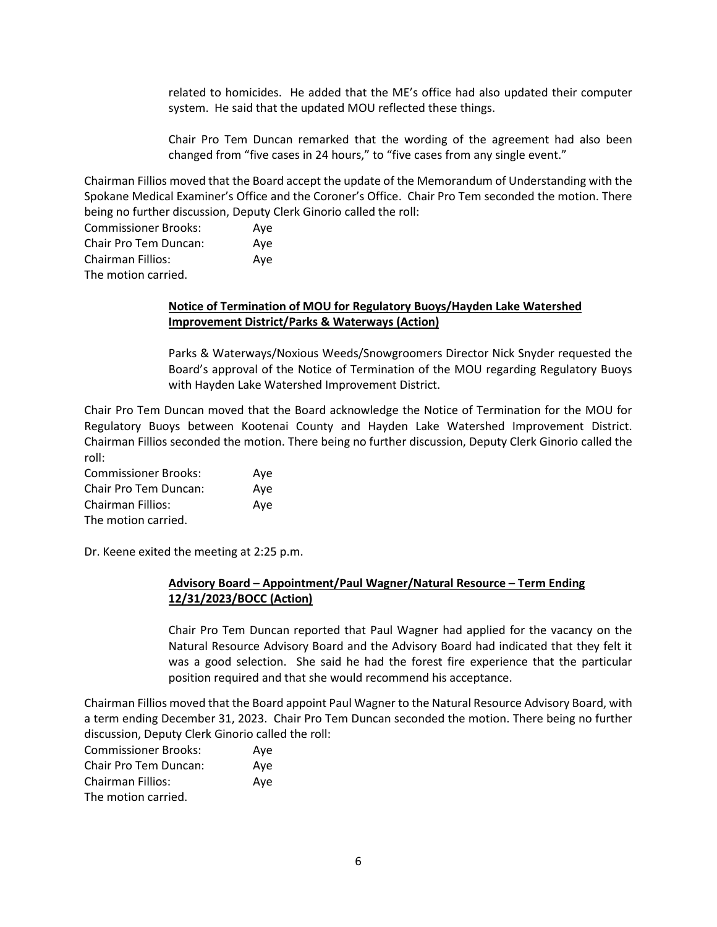related to homicides. He added that the ME's office had also updated their computer system. He said that the updated MOU reflected these things.

Chair Pro Tem Duncan remarked that the wording of the agreement had also been changed from "five cases in 24 hours," to "five cases from any single event."

Chairman Fillios moved that the Board accept the update of the Memorandum of Understanding with the Spokane Medical Examiner's Office and the Coroner's Office. Chair Pro Tem seconded the motion. There being no further discussion, Deputy Clerk Ginorio called the roll:

Commissioner Brooks: Aye Chair Pro Tem Duncan: Aye Chairman Fillios: Aye The motion carried.

#### **Notice of Termination of MOU for Regulatory Buoys/Hayden Lake Watershed Improvement District/Parks & Waterways (Action)**

Parks & Waterways/Noxious Weeds/Snowgroomers Director Nick Snyder requested the Board's approval of the Notice of Termination of the MOU regarding Regulatory Buoys with Hayden Lake Watershed Improvement District.

Chair Pro Tem Duncan moved that the Board acknowledge the Notice of Termination for the MOU for Regulatory Buoys between Kootenai County and Hayden Lake Watershed Improvement District. Chairman Fillios seconded the motion. There being no further discussion, Deputy Clerk Ginorio called the roll:

Commissioner Brooks: Aye Chair Pro Tem Duncan: Aye Chairman Fillios: Aye The motion carried.

Dr. Keene exited the meeting at 2:25 p.m.

# **Advisory Board – Appointment/Paul Wagner/Natural Resource – Term Ending 12/31/2023/BOCC (Action)**

Chair Pro Tem Duncan reported that Paul Wagner had applied for the vacancy on the Natural Resource Advisory Board and the Advisory Board had indicated that they felt it was a good selection. She said he had the forest fire experience that the particular position required and that she would recommend his acceptance.

Chairman Fillios moved that the Board appoint Paul Wagner to the Natural Resource Advisory Board, with a term ending December 31, 2023. Chair Pro Tem Duncan seconded the motion. There being no further discussion, Deputy Clerk Ginorio called the roll:

| <b>Commissioner Brooks:</b> | Ave |
|-----------------------------|-----|
| Chair Pro Tem Duncan:       | Ave |
| <b>Chairman Fillios:</b>    | Ave |
| The motion carried.         |     |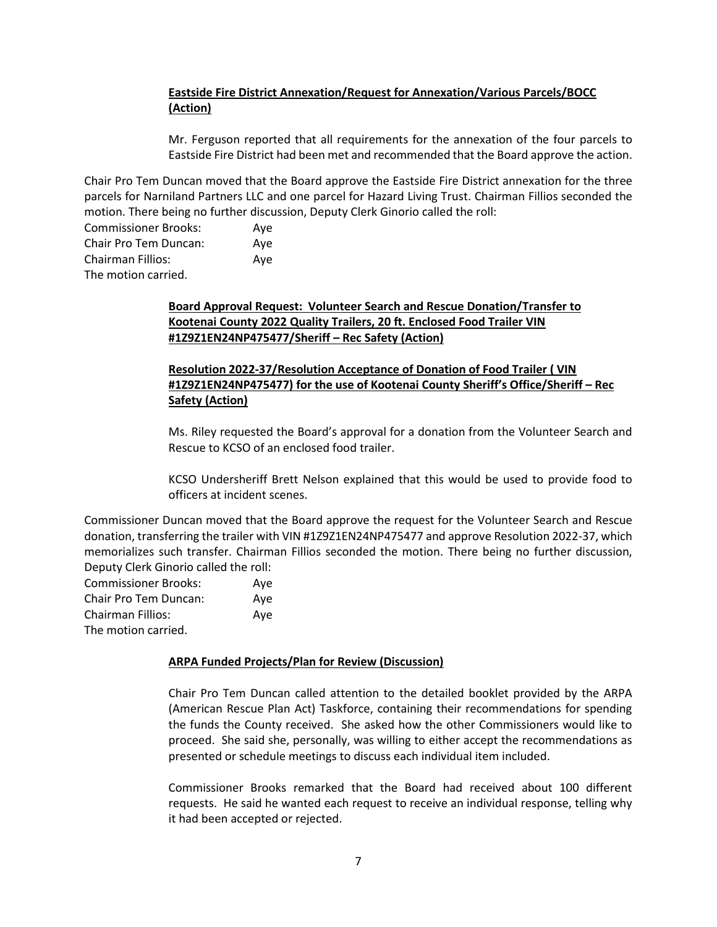# **Eastside Fire District Annexation/Request for Annexation/Various Parcels/BOCC (Action)**

Mr. Ferguson reported that all requirements for the annexation of the four parcels to Eastside Fire District had been met and recommended that the Board approve the action.

Chair Pro Tem Duncan moved that the Board approve the Eastside Fire District annexation for the three parcels for Narniland Partners LLC and one parcel for Hazard Living Trust. Chairman Fillios seconded the motion. There being no further discussion, Deputy Clerk Ginorio called the roll:

| <b>Commissioner Brooks:</b> | Ave |
|-----------------------------|-----|
| Chair Pro Tem Duncan:       | Ave |
| Chairman Fillios:           | Ave |
| The motion carried.         |     |

# **Board Approval Request: Volunteer Search and Rescue Donation/Transfer to Kootenai County 2022 Quality Trailers, 20 ft. Enclosed Food Trailer VIN #1Z9Z1EN24NP475477/Sheriff – Rec Safety (Action)**

# **Resolution 2022-37/Resolution Acceptance of Donation of Food Trailer ( VIN #1Z9Z1EN24NP475477) for the use of Kootenai County Sheriff's Office/Sheriff – Rec Safety (Action)**

Ms. Riley requested the Board's approval for a donation from the Volunteer Search and Rescue to KCSO of an enclosed food trailer.

KCSO Undersheriff Brett Nelson explained that this would be used to provide food to officers at incident scenes.

Commissioner Duncan moved that the Board approve the request for the Volunteer Search and Rescue donation, transferring the trailer with VIN #1Z9Z1EN24NP475477 and approve Resolution 2022-37, which memorializes such transfer. Chairman Fillios seconded the motion. There being no further discussion, Deputy Clerk Ginorio called the roll:

| <b>Commissioner Brooks:</b> | Aye |
|-----------------------------|-----|
| Chair Pro Tem Duncan:       | Ave |
| Chairman Fillios:           | Aye |
| The motion carried.         |     |

### **ARPA Funded Projects/Plan for Review (Discussion)**

Chair Pro Tem Duncan called attention to the detailed booklet provided by the ARPA (American Rescue Plan Act) Taskforce, containing their recommendations for spending the funds the County received. She asked how the other Commissioners would like to proceed. She said she, personally, was willing to either accept the recommendations as presented or schedule meetings to discuss each individual item included.

Commissioner Brooks remarked that the Board had received about 100 different requests. He said he wanted each request to receive an individual response, telling why it had been accepted or rejected.